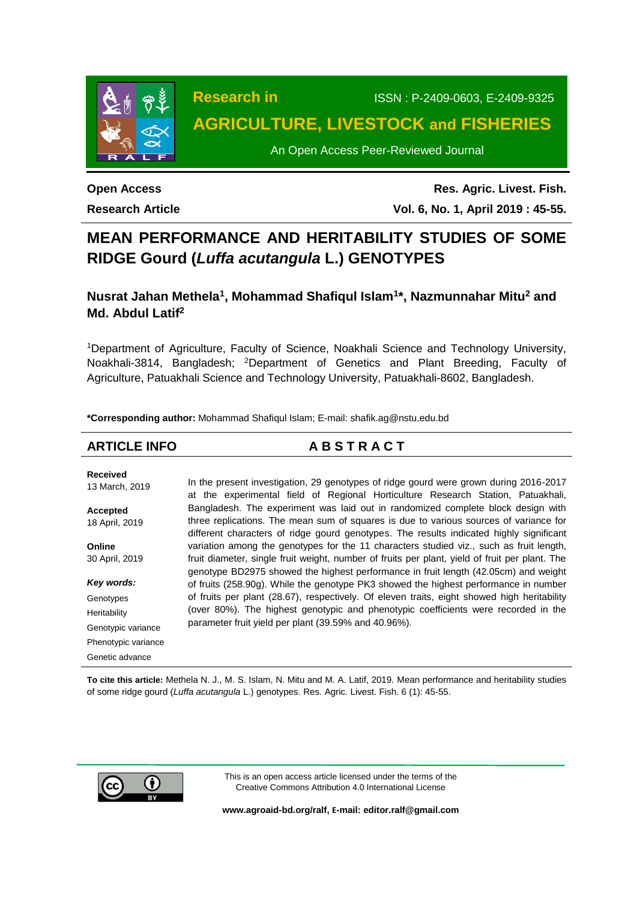

# **Research in** ISSN : P-2409-0603, E-2409-9325 **AGRICULTURE, LIVESTOCK and FISHERIES**

An Open Access Peer-Reviewed Journal

### **Open Access Research Article**

**Res. Agric. Livest. Fish. Vol. 6, No. 1, April 2019 : 45-55.**

## **MEAN PERFORMANCE AND HERITABILITY STUDIES OF SOME RIDGE Gourd (***Luffa acutangula* **L.) GENOTYPES**

**Nusrat Jahan Methela<sup>1</sup> , Mohammad Shafiqul Islam<sup>1</sup> \*, Nazmunnahar Mitu<sup>2</sup> and Md. Abdul Latif<sup>2</sup>**

<sup>1</sup>Department of Agriculture, Faculty of Science, Noakhali Science and Technology University, Noakhali-3814, Bangladesh; <sup>2</sup>Department of Genetics and Plant Breeding, Faculty of Agriculture, Patuakhali Science and Technology University, Patuakhali-8602, Bangladesh.

**\*Corresponding author:** Mohammad Shafiqul Islam; E-mail: [shafik.ag@nstu.edu.bd](mailto:shafik.ag@nstu.edu.bd)

| <b>ARTICLE INFO</b>               | <b>ABSTRACT</b>                                                                                                                                                                       |
|-----------------------------------|---------------------------------------------------------------------------------------------------------------------------------------------------------------------------------------|
| <b>Received</b><br>13 March, 2019 | In the present investigation, 29 genotypes of ridge gourd were grown during 2016-2017<br>at the experimental field of Regional Horticulture Research Station, Patuakhali,             |
| Accepted                          | Bangladesh. The experiment was laid out in randomized complete block design with                                                                                                      |
| 18 April, 2019                    | three replications. The mean sum of squares is due to various sources of variance for<br>different characters of ridge gourd genotypes. The results indicated highly significant      |
| Online                            | variation among the genotypes for the 11 characters studied viz., such as fruit length,                                                                                               |
| 30 April, 2019                    | fruit diameter, single fruit weight, number of fruits per plant, yield of fruit per plant. The<br>genotype BD2975 showed the highest performance in fruit length (42.05cm) and weight |
| Key words:                        | of fruits (258.90g). While the genotype PK3 showed the highest performance in number                                                                                                  |
| Genotypes                         | of fruits per plant (28.67), respectively. Of eleven traits, eight showed high heritability                                                                                           |
| Heritability                      | (over 80%). The highest genotypic and phenotypic coefficients were recorded in the                                                                                                    |
| Genotypic variance                | parameter fruit yield per plant (39.59% and 40.96%).                                                                                                                                  |
| Phenotypic variance               |                                                                                                                                                                                       |
| Genetic advance                   |                                                                                                                                                                                       |

**To cite this article:** Methela N. J., M. S. Islam, N. Mitu and M. A. Latif, 2019. Mean performance and heritability studies of some ridge gourd (*Luffa acutangula* L.) genotypes. Res. Agric. Livest. Fish. 6 (1): 45-55.



This is an open access article licensed under the terms of the Creative Commons Attribution 4.0 International License

**[www.agroaid-bd.org/ralf,](http://www.agroaid-bd.org/ralf) E-mail[: editor.ralf@gmail.com](mailto:editor.ralf@gmail.com)**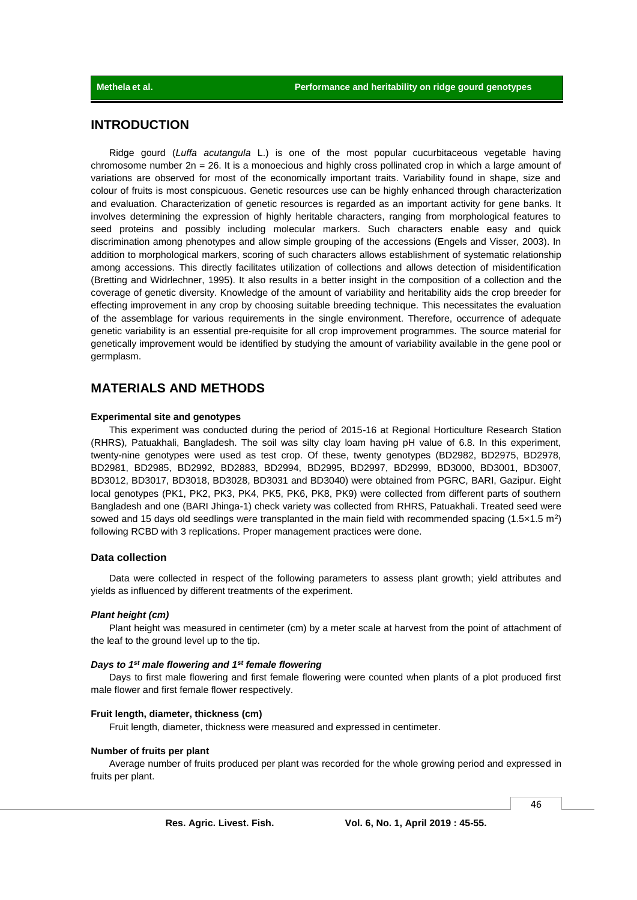### **INTRODUCTION**

Ridge gourd (*Luffa acutangula* L.) is one of the most popular cucurbitaceous vegetable having chromosome number  $2n = 26$ . It is a monoecious and highly cross pollinated crop in which a large amount of variations are observed for most of the economically important traits. Variability found in shape, size and colour of fruits is most conspicuous. Genetic resources use can be highly enhanced through characterization and evaluation. Characterization of genetic resources is regarded as an important activity for gene banks. It involves determining the expression of highly heritable characters, ranging from morphological features to seed proteins and possibly including molecular markers. Such characters enable easy and quick discrimination among phenotypes and allow simple grouping of the accessions (Engels and Visser, 2003). In addition to morphological markers, scoring of such characters allows establishment of systematic relationship among accessions. This directly facilitates utilization of collections and allows detection of misidentification (Bretting and Widrlechner, 1995). It also results in a better insight in the composition of a collection and the coverage of genetic diversity. Knowledge of the amount of variability and heritability aids the crop breeder for effecting improvement in any crop by choosing suitable breeding technique. This necessitates the evaluation of the assemblage for various requirements in the single environment. Therefore, occurrence of adequate genetic variability is an essential pre-requisite for all crop improvement programmes. The source material for genetically improvement would be identified by studying the amount of variability available in the gene pool or germplasm.

### **MATERIALS AND METHODS**

### **Experimental site and genotypes**

This experiment was conducted during the period of 2015-16 at Regional Horticulture Research Station (RHRS), Patuakhali, Bangladesh. The soil was silty clay loam having pH value of 6.8. In this experiment, twenty-nine genotypes were used as test crop. Of these, twenty genotypes (BD2982, BD2975, BD2978, BD2981, BD2985, BD2992, BD2883, BD2994, BD2995, BD2997, BD2999, BD3000, BD3001, BD3007, BD3012, BD3017, BD3018, BD3028, BD3031 and BD3040) were obtained from PGRC, BARI, Gazipur. Eight local genotypes (PK1, PK2, PK3, PK4, PK5, PK6, PK8, PK9) were collected from different parts of southern Bangladesh and one (BARI Jhinga-1) check variety was collected from RHRS, Patuakhali. Treated seed were sowed and 15 days old seedlings were transplanted in the main field with recommended spacing  $(1.5 \times 1.5 \text{ m}^2)$ following RCBD with 3 replications. Proper management practices were done.

### **Data collection**

Data were collected in respect of the following parameters to assess plant growth; yield attributes and yields as influenced by different treatments of the experiment.

### *Plant height (cm)*

Plant height was measured in centimeter (cm) by a meter scale at harvest from the point of attachment of the leaf to the ground level up to the tip.

#### *Days to 1st male flowering and 1st female flowering*

Days to first male flowering and first female flowering were counted when plants of a plot produced first male flower and first female flower respectively.

#### **Fruit length, diameter, thickness (cm)**

Fruit length, diameter, thickness were measured and expressed in centimeter.

#### **Number of fruits per plant**

Average number of fruits produced per plant was recorded for the whole growing period and expressed in fruits per plant.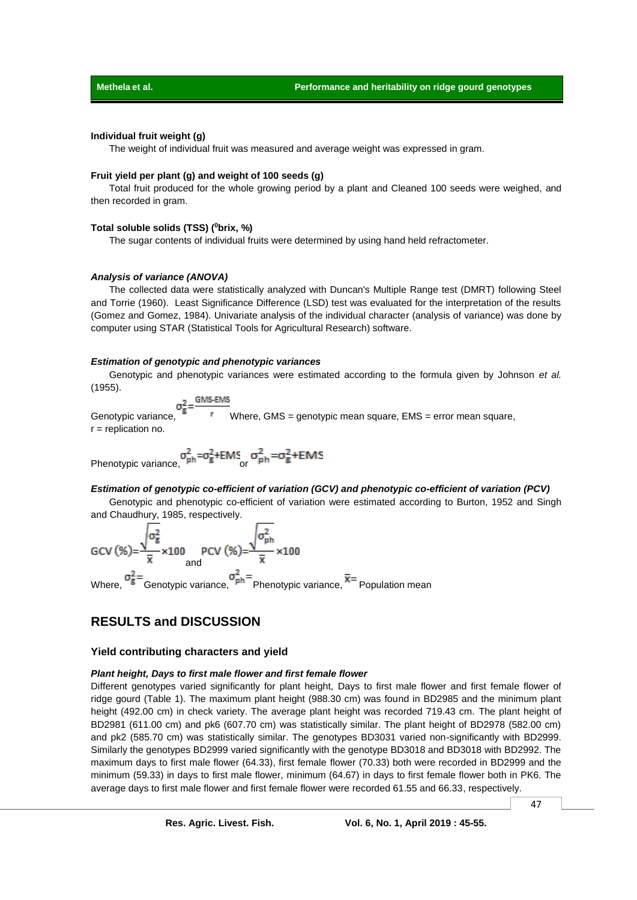### **Individual fruit weight (g)**

The weight of individual fruit was measured and average weight was expressed in gram.

### **Fruit yield per plant (g) and weight of 100 seeds (g)**

Total fruit produced for the whole growing period by a plant and Cleaned 100 seeds were weighed, and then recorded in gram.

### **Total soluble solids (TSS) (<sup>0</sup>brix, %)**

The sugar contents of individual fruits were determined by using hand held refractometer.

### *Analysis of variance (ANOVA)*

The collected data were statistically analyzed with Duncan's Multiple Range test (DMRT) following Steel and Torrie (1960). Least Significance Difference (LSD) test was evaluated for the interpretation of the results (Gomez and Gomez, 1984). Univariate analysis of the individual character (analysis of variance) was done by computer using STAR (Statistical Tools for Agricultural Research) software.

#### *Estimation of genotypic and phenotypic variances*

Genotypic and phenotypic variances were estimated according to the formula given by Johnson *et al.* (1955).

$$
\pi^2 - \frac{\text{GMS-EMS}}{\text{GMS}}
$$

Genotypic variance,  $\overline{5}$   $\overline{5}$  Where, GMS = genotypic mean square, EMS = error mean square, r = replication no.

Phenotypic variance,  $\sigma_{ph}^2 = \sigma_g^2 + EMS$  or  $\sigma_{ph}^2 = \sigma_g^2 + EMS$ 

### *Estimation of genotypic co-efficient of variation (GCV) and phenotypic co-efficient of variation (PCV)*

Genotypic and phenotypic co-efficient of variation were estimated according to Burton, 1952 and Singh and Chaudhury, 1985, respectively.

$$
GCV (%) = \frac{\sqrt{\sigma_g^2}}{\bar{x}} \times 100 \qquad PCV (%) = \frac{\sqrt{\sigma_{ph}^2}}{\bar{x}} \times 100
$$
  
and  
Where,  $\sigma_g^2 = \text{Genotypic variance}, \sigma_{ph}^2 = \text{Phenotypic variance}, \overline{x} = \text{Population mean}$ 

### **RESULTS and DISCUSSION**

### **Yield contributing characters and yield**

### *Plant height, Days to first male flower and first female flower*

Different genotypes varied significantly for plant height, Days to first male flower and first female flower of ridge gourd (Table 1). The maximum plant height (988.30 cm) was found in BD2985 and the minimum plant height (492.00 cm) in check variety. The average plant height was recorded 719.43 cm. The plant height of BD2981 (611.00 cm) and pk6 (607.70 cm) was statistically similar. The plant height of BD2978 (582.00 cm) and pk2 (585.70 cm) was statistically similar. The genotypes BD3031 varied non-significantly with BD2999. Similarly the genotypes BD2999 varied significantly with the genotype BD3018 and BD3018 with BD2992. The maximum days to first male flower (64.33), first female flower (70.33) both were recorded in BD2999 and the minimum (59.33) in days to first male flower, minimum (64.67) in days to first female flower both in PK6. The average days to first male flower and first female flower were recorded 61.55 and 66.33, respectively.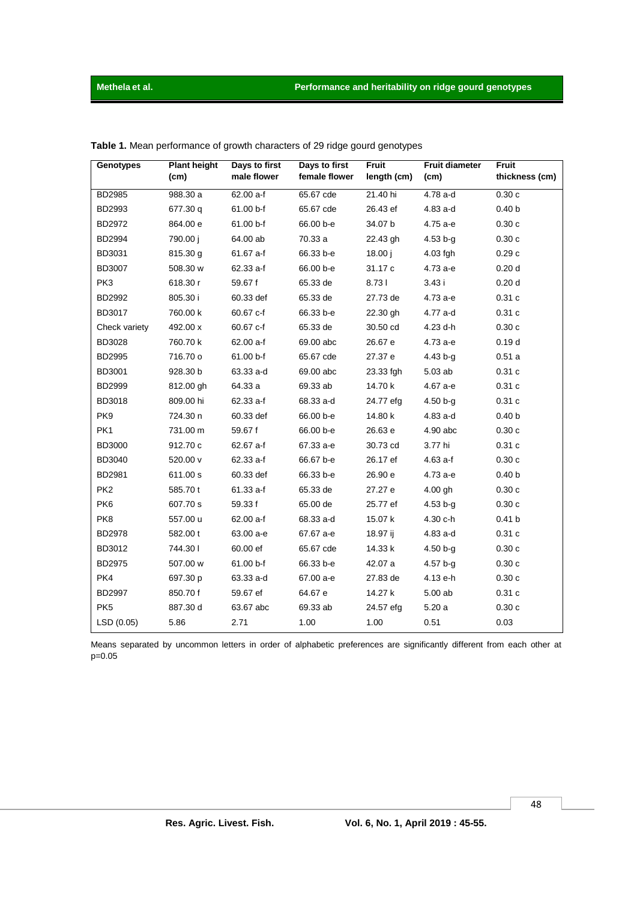| <b>Genotypes</b> | <b>Plant height</b><br>(cm) | Days to first<br>male flower | Days to first<br>female flower | <b>Fruit</b><br>length (cm) | <b>Fruit diameter</b><br>(cm) | Fruit<br>thickness (cm) |
|------------------|-----------------------------|------------------------------|--------------------------------|-----------------------------|-------------------------------|-------------------------|
| BD2985           | 988.30 a                    | 62.00 a-f                    | 65.67 cde                      | 21.40 hi                    | 4.78 a-d                      | 0.30c                   |
| BD2993           | 677.30 q                    | 61.00 b-f                    | 65.67 cde                      | 26.43 ef                    | 4.83 a-d                      | 0.40 <sub>b</sub>       |
| BD2972           | 864.00 e                    | 61.00 b-f                    | 66.00 b-e                      | 34.07 b                     | 4.75 a-e                      | 0.30c                   |
| <b>BD2994</b>    | 790.00 i                    | 64.00 ab                     | 70.33 a                        | 22.43 gh                    | $4.53 b - g$                  | 0.30c                   |
| BD3031           | 815.30 g                    | 61.67 a-f                    | 66.33 b-e                      | 18.00j                      | $4.03$ fgh                    | 0.29c                   |
| BD3007           | 508.30 w                    | 62.33 a-f                    | 66.00 b-e                      | 31.17 c                     | 4.73 а-е                      | 0.20 <sub>d</sub>       |
| PK3              | 618.30 r                    | 59.67 f                      | 65.33 de                       | 8.731                       | 3.43i                         | 0.20 <sub>d</sub>       |
| BD2992           | 805.30 i                    | 60.33 def                    | 65.33 de                       | 27.73 de                    | 4.73 а-е                      | 0.31c                   |
| BD3017           | 760.00 k                    | 60.67 c-f                    | 66.33 b-e                      | 22.30 gh                    | 4.77 a-d                      | 0.31c                   |
| Check variety    | 492.00 x                    | 60.67 c-f                    | 65.33 de                       | 30.50 cd                    | 4.23 d-h                      | 0.30c                   |
| <b>BD3028</b>    | 760.70 k                    | 62.00 a-f                    | 69.00 abc                      | 26.67 e                     | 4.73 a-e                      | 0.19 <sub>d</sub>       |
| BD2995           | 716.70 o                    | 61.00 b-f                    | 65.67 cde                      | 27.37 e                     | $4.43 b - g$                  | 0.51a                   |
| BD3001           | 928.30 b                    | 63.33 a-d                    | 69.00 abc                      | 23.33 fgh                   | 5.03 ab                       | 0.31c                   |
| <b>BD2999</b>    | 812.00 gh                   | 64.33 a                      | 69.33 ab                       | 14.70 k                     | 4.67 a-e                      | 0.31c                   |
| <b>BD3018</b>    | 809.00 hi                   | 62.33 a-f                    | 68.33 a-d                      | 24.77 efg                   | $4.50 b - q$                  | 0.31c                   |
| PK9              | 724.30 n                    | 60.33 def                    | 66.00 b-e                      | 14.80 k                     | 4.83 a-d                      | 0.40 <sub>b</sub>       |
| PK1              | 731.00 m                    | 59.67 f                      | 66.00 b-e                      | 26.63 e                     | 4.90 abc                      | 0.30c                   |
| <b>BD3000</b>    | 912.70 c                    | 62.67 a-f                    | 67.33 a-e                      | 30.73 cd                    | 3.77 hi                       | 0.31c                   |
| BD3040           | 520.00 v                    | 62.33 a-f                    | 66.67 b-e                      | 26.17 ef                    | $4.63a-f$                     | 0.30c                   |
| BD2981           | 611.00 s                    | 60.33 def                    | 66.33 b-e                      | 26.90 e                     | 4.73 а-е                      | 0.40 <sub>b</sub>       |
| PK <sub>2</sub>  | 585.70 t                    | $61.33 a-f$                  | 65.33 de                       | 27.27 e                     | $4.00$ gh                     | 0.30c                   |
| PK <sub>6</sub>  | 607.70 s                    | 59.33 f                      | 65.00 de                       | 25.77 ef                    | $4.53 b - g$                  | 0.30c                   |
| PK8              | 557.00 u                    | 62.00 a-f                    | 68.33 a-d                      | 15.07 k                     | 4.30 c-h                      | 0.41 <sub>b</sub>       |
| <b>BD2978</b>    | 582.00 t                    | 63.00 a-e                    | 67.67 a-e                      | 18.97 ij                    | 4.83 a-d                      | 0.31c                   |
| BD3012           | 744.301                     | 60.00 ef                     | 65.67 cde                      | 14.33 k                     | $4.50 b - q$                  | 0.30c                   |
| BD2975           | 507.00 w                    | 61.00 b-f                    | 66.33 b-e                      | 42.07 a                     | $4.57b - q$                   | 0.30c                   |
| PK4              | 697.30 p                    | 63.33 a-d                    | 67.00 a-e                      | 27.83 de                    | 4.13 e-h                      | 0.30c                   |
| BD2997           | 850.70 f                    | 59.67 ef                     | 64.67 e                        | 14.27 k                     | 5.00 ab                       | 0.31c                   |
| PK <sub>5</sub>  | 887.30 d                    | 63.67 abc                    | 69.33 ab                       | 24.57 efg                   | 5.20a                         | 0.30c                   |
| LSD(0.05)        | 5.86                        | 2.71                         | 1.00                           | 1.00                        | 0.51                          | 0.03                    |

Table 1. Mean performance of growth characters of 29 ridge gourd genotypes

Means separated by uncommon letters in order of alphabetic preferences are significantly different from each other at  $p=0.05$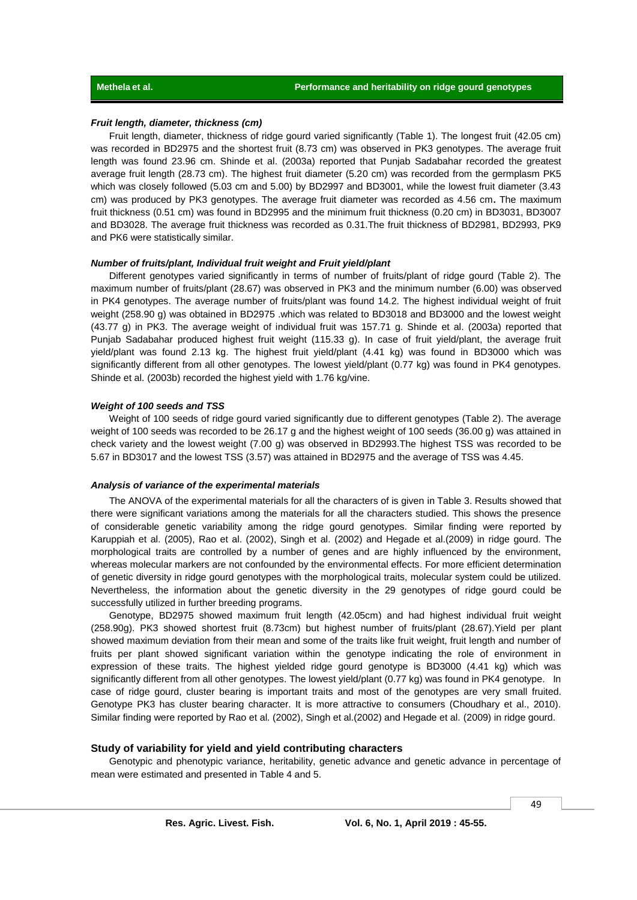### *Fruit length, diameter, thickness (cm)*

Fruit length, diameter, thickness of ridge gourd varied significantly (Table 1). The longest fruit (42.05 cm) was recorded in BD2975 and the shortest fruit (8.73 cm) was observed in PK3 genotypes. The average fruit length was found 23.96 cm. Shinde et al. (2003a) reported that Punjab Sadabahar recorded the greatest average fruit length (28.73 cm). The highest fruit diameter (5.20 cm) was recorded from the germplasm PK5 which was closely followed (5.03 cm and 5.00) by BD2997 and BD3001, while the lowest fruit diameter (3.43 cm) was produced by PK3 genotypes. The average fruit diameter was recorded as 4.56 cm**.** The maximum fruit thickness (0.51 cm) was found in BD2995 and the minimum fruit thickness (0.20 cm) in BD3031, BD3007 and BD3028. The average fruit thickness was recorded as 0.31.The fruit thickness of BD2981, BD2993, PK9 and PK6 were statistically similar.

#### *Number of fruits/plant, Individual fruit weight and Fruit yield/plant*

Different genotypes varied significantly in terms of number of fruits/plant of ridge gourd (Table 2). The maximum number of fruits/plant (28.67) was observed in PK3 and the minimum number (6.00) was observed in PK4 genotypes. The average number of fruits/plant was found 14.2. The highest individual weight of fruit weight (258.90 g) was obtained in BD2975 .which was related to BD3018 and BD3000 and the lowest weight (43.77 g) in PK3. The average weight of individual fruit was 157.71 g. Shinde et al. (2003a) reported that Punjab Sadabahar produced highest fruit weight (115.33 g). In case of fruit yield/plant, the average fruit yield/plant was found 2.13 kg. The highest fruit yield/plant (4.41 kg) was found in BD3000 which was significantly different from all other genotypes. The lowest yield/plant (0.77 kg) was found in PK4 genotypes. Shinde et al. (2003b) recorded the highest yield with 1.76 kg/vine.

### *Weight of 100 seeds and TSS*

Weight of 100 seeds of ridge gourd varied significantly due to different genotypes (Table 2). The average weight of 100 seeds was recorded to be 26.17 g and the highest weight of 100 seeds (36.00 g) was attained in check variety and the lowest weight (7.00 g) was observed in BD2993.The highest TSS was recorded to be 5.67 in BD3017 and the lowest TSS (3.57) was attained in BD2975 and the average of TSS was 4.45.

#### *Analysis of variance of the experimental materials*

The ANOVA of the experimental materials for all the characters of is given in Table 3. Results showed that there were significant variations among the materials for all the characters studied. This shows the presence of considerable genetic variability among the ridge gourd genotypes. Similar finding were reported by Karuppiah et al. (2005), Rao et al. (2002), Singh et al. (2002) and Hegade et al.(2009) in ridge gourd. The morphological traits are controlled by a number of genes and are highly influenced by the environment, whereas molecular markers are not confounded by the environmental effects. For more efficient determination of genetic diversity in ridge gourd genotypes with the morphological traits, molecular system could be utilized. Nevertheless, the information about the genetic diversity in the 29 genotypes of ridge gourd could be successfully utilized in further breeding programs.

Genotype, BD2975 showed maximum fruit length (42.05cm) and had highest individual fruit weight (258.90g). PK3 showed shortest fruit (8.73cm) but highest number of fruits/plant (28.67).Yield per plant showed maximum deviation from their mean and some of the traits like fruit weight, fruit length and number of fruits per plant showed significant variation within the genotype indicating the role of environment in expression of these traits. The highest yielded ridge gourd genotype is BD3000 (4.41 kg) which was significantly different from all other genotypes. The lowest yield/plant (0.77 kg) was found in PK4 genotype. In case of ridge gourd, cluster bearing is important traits and most of the genotypes are very small fruited. Genotype PK3 has cluster bearing character. It is more attractive to consumers (Choudhary et al., 2010). Similar finding were reported by Rao et al. (2002), Singh et al.(2002) and Hegade et al. (2009) in ridge gourd.

### **Study of variability for yield and yield contributing characters**

Genotypic and phenotypic variance, heritability, genetic advance and genetic advance in percentage of mean were estimated and presented in Table 4 and 5.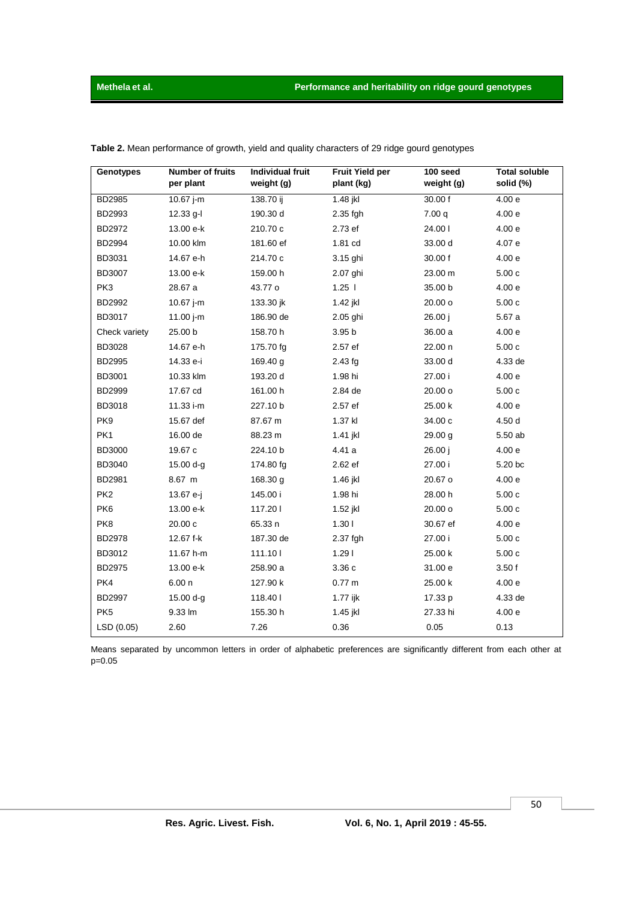| Genotypes       | <b>Number of fruits</b><br>per plant | <b>Individual fruit</b><br>weight (g) | <b>Fruit Yield per</b><br>plant (kg) | $100$ seed<br>weight (g) | <b>Total soluble</b><br>solid (%) |
|-----------------|--------------------------------------|---------------------------------------|--------------------------------------|--------------------------|-----------------------------------|
| <b>BD2985</b>   | 10.67 i-m                            | 138.70 $\overline{ij}$                | 1.48 jkl                             | 30.00 f                  | 4.00e                             |
| BD2993          | $12.33$ g-l                          | 190.30 d                              | 2.35 fgh                             | 7.00q                    | 4.00e                             |
| BD2972          | 13.00 e-k                            | 210.70 c                              | 2.73 ef                              | 24.00                    | 4.00e                             |
| BD2994          | 10.00 klm                            | 181.60 ef                             | 1.81 cd                              | 33.00 d                  | 4.07 e                            |
| BD3031          | 14.67 e-h                            | 214.70 c                              | 3.15 ghi                             | 30.00 f                  | 4.00e                             |
| <b>BD3007</b>   | 13.00 e-k                            | 159.00 h                              | 2.07 ghi                             | 23.00 m                  | 5.00c                             |
| PK3             | 28.67 a                              | 43.77 o                               | $1.25$                               | 35.00 b                  | 4.00e                             |
| BD2992          | 10.67 $j$ -m                         | 133.30 jk                             | 1.42 jkl                             | 20.00 o                  | 5.00c                             |
| BD3017          | 11.00 j-m                            | 186.90 de                             | 2.05 ghi                             | 26.00 j                  | 5.67 a                            |
| Check variety   | 25.00 b                              | 158.70 h                              | 3.95 b                               | 36.00 a                  | 4.00e                             |
| <b>BD3028</b>   | 14.67 e-h                            | 175.70 fg                             | 2.57 ef                              | 22.00 n                  | 5.00c                             |
| BD2995          | 14.33 e-i                            | 169.40 g                              | $2.43$ fg                            | 33.00 d                  | 4.33 de                           |
| <b>BD3001</b>   | 10.33 klm                            | 193.20 d                              | 1.98 hi                              | 27.00 i                  | 4.00e                             |
| <b>BD2999</b>   | 17.67 cd                             | 161.00 h                              | 2.84 de                              | 20.00 o                  | 5.00c                             |
| BD3018          | 11.33 i-m                            | 227.10 b                              | 2.57 ef                              | 25.00 k                  | 4.00e                             |
| PK9             | 15.67 def                            | 87.67 m                               | 1.37 kl                              | 34.00 c                  | 4.50 d                            |
| PK1             | 16.00 de                             | 88.23 m                               | 1.41 jkl                             | 29.00 g                  | 5.50 ab                           |
| BD3000          | 19.67 c                              | 224.10 b                              | 4.41 a                               | 26.00 j                  | 4.00e                             |
| BD3040          | 15.00 d-g                            | 174.80 fg                             | 2.62 ef                              | 27.00 i                  | 5.20 bc                           |
| BD2981          | 8.67 m                               | 168.30 g                              | 1.46 jkl                             | 20.67 o                  | 4.00e                             |
| PK <sub>2</sub> | 13.67 e-j                            | 145.00 i                              | 1.98 hi                              | 28.00 h                  | 5.00c                             |
| PK6             | 13.00 e-k                            | 117.201                               | 1.52 jkl                             | 20.00 o                  | 5.00c                             |
| PK8             | 20.00c                               | 65.33 n                               | 1.30 <sub>1</sub>                    | 30.67 ef                 | 4.00 <sub>e</sub>                 |
| <b>BD2978</b>   | 12.67 f-k                            | 187.30 de                             | 2.37 fgh                             | 27.00 i                  | 5.00c                             |
| BD3012          | 11.67 h-m                            | 111.101                               | 1.29                                 | 25.00 k                  | 5.00c                             |
| BD2975          | 13.00 e-k                            | 258.90 a                              | 3.36c                                | 31.00 e                  | 3.50f                             |
| PK4             | 6.00n                                | 127.90 k                              | 0.77 m                               | 25.00 k                  | 4.00e                             |
| BD2997          | $15.00 d-g$                          | 118.401                               | 1.77 ijk                             | 17.33 p                  | 4.33 de                           |
| PK <sub>5</sub> | 9.33 lm                              | 155.30 h                              | 1.45 jkl                             | 27.33 hi                 | 4.00e                             |
| LSD (0.05)      | 2.60                                 | 7.26                                  | 0.36                                 | 0.05                     | 0.13                              |

Table 2. Mean performance of growth, yield and quality characters of 29 ridge gourd genotypes

Means separated by uncommon letters in order of alphabetic preferences are significantly different from each other at  $p=0.05$ 

 $50$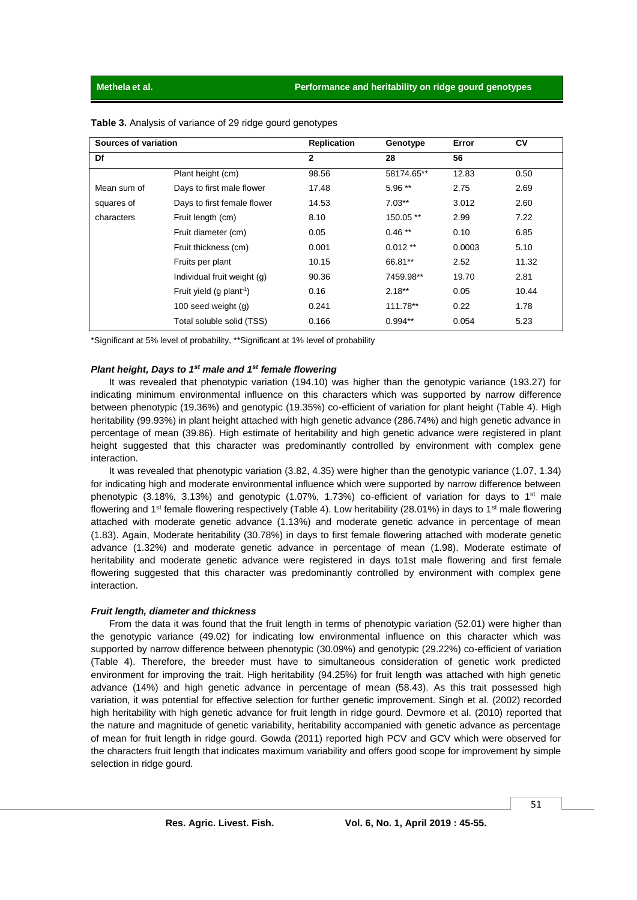| Sources of variation |                                      | <b>Replication</b> | Genotype   | Error  | <b>CV</b> |
|----------------------|--------------------------------------|--------------------|------------|--------|-----------|
| Df                   |                                      | $\mathbf{2}$       | 28         | 56     |           |
|                      | Plant height (cm)                    | 98.56              | 58174.65** | 12.83  | 0.50      |
| Mean sum of          | Days to first male flower            | 17.48              | 5.96 **    | 2.75   | 2.69      |
| squares of           | Days to first female flower          | 14.53              | $7.03**$   | 3.012  | 2.60      |
| characters           | Fruit length (cm)                    | 8.10               | 150.05 **  | 2.99   | 7.22      |
|                      | Fruit diameter (cm)                  | 0.05               | $0.46**$   | 0.10   | 6.85      |
|                      | Fruit thickness (cm)                 | 0.001              | $0.012**$  | 0.0003 | 5.10      |
|                      | Fruits per plant                     | 10.15              | 66.81**    | 2.52   | 11.32     |
|                      | Individual fruit weight (g)          | 90.36              | 7459.98**  | 19.70  | 2.81      |
|                      | Fruit yield (g plant <sup>-1</sup> ) | 0.16               | $2.18***$  | 0.05   | 10.44     |
|                      | 100 seed weight $(g)$                | 0.241              | 111.78**   | 0.22   | 1.78      |
|                      | Total soluble solid (TSS)            | 0.166              | $0.994**$  | 0.054  | 5.23      |

**Table 3.** Analysis of variance of 29 ridge gourd genotypes

\*Significant at 5% level of probability, \*\*Significant at 1% level of probability

### *Plant height, Days to 1st male and 1st female flowering*

It was revealed that phenotypic variation (194.10) was higher than the genotypic variance (193.27) for indicating minimum environmental influence on this characters which was supported by narrow difference between phenotypic (19.36%) and genotypic (19.35%) co-efficient of variation for plant height (Table 4). High heritability (99.93%) in plant height attached with high genetic advance (286.74%) and high genetic advance in percentage of mean (39.86). High estimate of heritability and high genetic advance were registered in plant height suggested that this character was predominantly controlled by environment with complex gene interaction.

It was revealed that phenotypic variation (3.82, 4.35) were higher than the genotypic variance (1.07, 1.34) for indicating high and moderate environmental influence which were supported by narrow difference between phenotypic (3.18%, 3.13%) and genotypic (1.07%, 1.73%) co-efficient of variation for days to 1<sup>st</sup> male flowering and 1<sup>st</sup> female flowering respectively (Table 4). Low heritability (28.01%) in days to 1<sup>st</sup> male flowering attached with moderate genetic advance (1.13%) and moderate genetic advance in percentage of mean (1.83). Again, Moderate heritability (30.78%) in days to first female flowering attached with moderate genetic advance (1.32%) and moderate genetic advance in percentage of mean (1.98). Moderate estimate of heritability and moderate genetic advance were registered in days to1st male flowering and first female flowering suggested that this character was predominantly controlled by environment with complex gene interaction.

#### *Fruit length, diameter and thickness*

From the data it was found that the fruit length in terms of phenotypic variation (52.01) were higher than the genotypic variance (49.02) for indicating low environmental influence on this character which was supported by narrow difference between phenotypic (30.09%) and genotypic (29.22%) co-efficient of variation (Table 4). Therefore, the breeder must have to simultaneous consideration of genetic work predicted environment for improving the trait. High heritability (94.25%) for fruit length was attached with high genetic advance (14%) and high genetic advance in percentage of mean (58.43). As this trait possessed high variation, it was potential for effective selection for further genetic improvement. Singh et al. (2002) recorded high heritability with high genetic advance for fruit length in ridge gourd. Devmore et al. (2010) reported that the nature and magnitude of genetic variability, heritability accompanied with genetic advance as percentage of mean for fruit length in ridge gourd. Gowda (2011) reported high PCV and GCV which were observed for the characters fruit length that indicates maximum variability and offers good scope for improvement by simple selection in ridge gourd.

51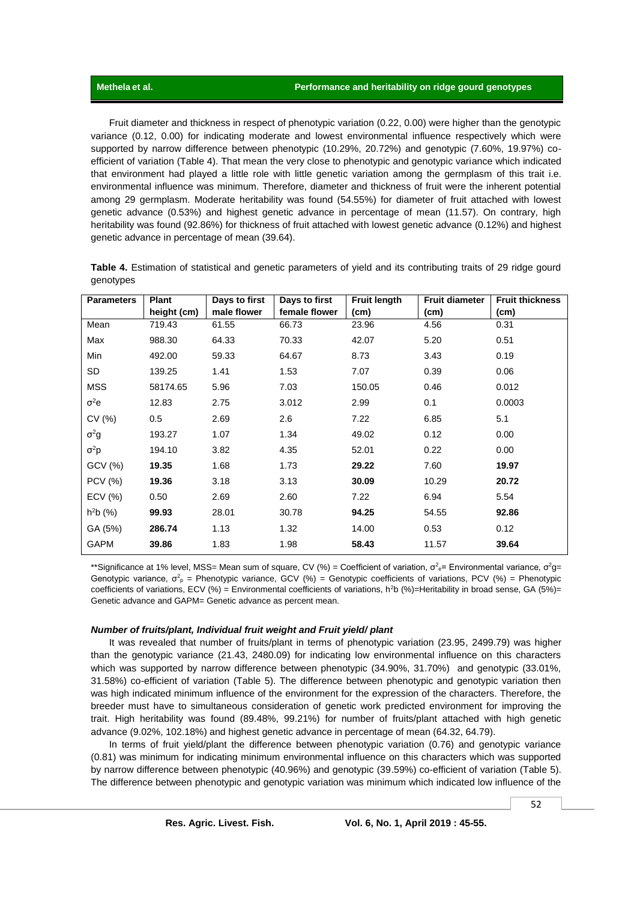Fruit diameter and thickness in respect of phenotypic variation (0.22, 0.00) were higher than the genotypic variance (0.12, 0.00) for indicating moderate and lowest environmental influence respectively which were supported by narrow difference between phenotypic (10.29%, 20.72%) and genotypic (7.60%, 19.97%) coefficient of variation (Table 4). That mean the very close to phenotypic and genotypic variance which indicated that environment had played a little role with little genetic variation among the germplasm of this trait i.e. environmental influence was minimum. Therefore, diameter and thickness of fruit were the inherent potential among 29 germplasm. Moderate heritability was found (54.55%) for diameter of fruit attached with lowest genetic advance (0.53%) and highest genetic advance in percentage of mean (11.57). On contrary, high heritability was found (92.86%) for thickness of fruit attached with lowest genetic advance (0.12%) and highest genetic advance in percentage of mean (39.64).

**Table 4.** Estimation of statistical and genetic parameters of yield and its contributing traits of 29 ridge gourd genotypes

| <b>Parameters</b> | <b>Plant</b> | Days to first | Days to first | <b>Fruit length</b> | <b>Fruit diameter</b> | <b>Fruit thickness</b> |
|-------------------|--------------|---------------|---------------|---------------------|-----------------------|------------------------|
|                   | height (cm)  | male flower   | female flower | (cm)                | (cm)                  | (cm)                   |
| Mean              | 719.43       | 61.55         | 66.73         | 23.96               | 4.56                  | 0.31                   |
| Max               | 988.30       | 64.33         | 70.33         | 42.07               | 5.20                  | 0.51                   |
| Min               | 492.00       | 59.33         | 64.67         | 8.73                | 3.43                  | 0.19                   |
| SD                | 139.25       | 1.41          | 1.53          | 7.07                | 0.39                  | 0.06                   |
| <b>MSS</b>        | 58174.65     | 5.96          | 7.03          | 150.05              | 0.46                  | 0.012                  |
| $\sigma^2$ e      | 12.83        | 2.75          | 3.012         | 2.99                | 0.1                   | 0.0003                 |
| CV (%)            | 0.5          | 2.69          | 2.6           | 7.22                | 6.85                  | 5.1                    |
| $\sigma^2 g$      | 193.27       | 1.07          | 1.34          | 49.02               | 0.12                  | 0.00                   |
| $\sigma^2 p$      | 194.10       | 3.82          | 4.35          | 52.01               | 0.22                  | 0.00                   |
| GCV (%)           | 19.35        | 1.68          | 1.73          | 29.22               | 7.60                  | 19.97                  |
| <b>PCV (%)</b>    | 19.36        | 3.18          | 3.13          | 30.09               | 10.29                 | 20.72                  |
| ECV (%)           | 0.50         | 2.69          | 2.60          | 7.22                | 6.94                  | 5.54                   |
| $h^2b(%)$         | 99.93        | 28.01         | 30.78         | 94.25               | 54.55                 | 92.86                  |
| GA (5%)           | 286.74       | 1.13          | 1.32          | 14.00               | 0.53                  | 0.12                   |
| <b>GAPM</b>       | 39.86        | 1.83          | 1.98          | 58.43               | 11.57                 | 39.64                  |

\*\*Significance at 1% level, MSS= Mean sum of square, CV (%) = Coefficient of variation,  $\sigma^2$ <sub>e</sub>= Environmental variance,  $\sigma^2$ g= Genotypic variance,  $\sigma_p^2$  = Phenotypic variance, GCV (%) = Genotypic coefficients of variations, PCV (%) = Phenotypic coefficients of variations, ECV (%) = Environmental coefficients of variations, h<sup>2</sup>b (%)=Heritability in broad sense, GA (5%)= Genetic advance and GAPM= Genetic advance as percent mean.

### *Number of fruits/plant, Individual fruit weight and Fruit yield/ plant*

It was revealed that number of fruits/plant in terms of phenotypic variation (23.95, 2499.79) was higher than the genotypic variance (21.43, 2480.09) for indicating low environmental influence on this characters which was supported by narrow difference between phenotypic (34.90%, 31.70%) and genotypic (33.01%, 31.58%) co-efficient of variation (Table 5). The difference between phenotypic and genotypic variation then was high indicated minimum influence of the environment for the expression of the characters. Therefore, the breeder must have to simultaneous consideration of genetic work predicted environment for improving the trait. High heritability was found (89.48%, 99.21%) for number of fruits/plant attached with high genetic advance (9.02%, 102.18%) and highest genetic advance in percentage of mean (64.32, 64.79).

In terms of fruit yield/plant the difference between phenotypic variation (0.76) and genotypic variance (0.81) was minimum for indicating minimum environmental influence on this characters which was supported by narrow difference between phenotypic (40.96%) and genotypic (39.59%) co-efficient of variation (Table 5). The difference between phenotypic and genotypic variation was minimum which indicated low influence of the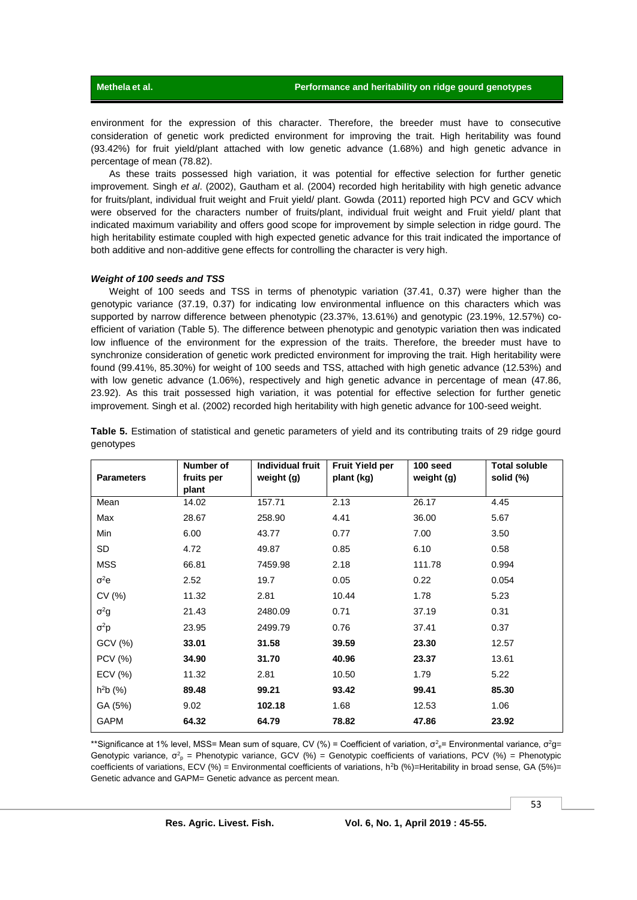environment for the expression of this character. Therefore, the breeder must have to consecutive consideration of genetic work predicted environment for improving the trait. High heritability was found (93.42%) for fruit yield/plant attached with low genetic advance (1.68%) and high genetic advance in percentage of mean (78.82).

As these traits possessed high variation, it was potential for effective selection for further genetic improvement. Singh *et al*. (2002), Gautham et al. (2004) recorded high heritability with high genetic advance for fruits/plant, individual fruit weight and Fruit yield/ plant. Gowda (2011) reported high PCV and GCV which were observed for the characters number of fruits/plant, individual fruit weight and Fruit yield/ plant that indicated maximum variability and offers good scope for improvement by simple selection in ridge gourd. The high heritability estimate coupled with high expected genetic advance for this trait indicated the importance of both additive and non-additive gene effects for controlling the character is very high.

### *Weight of 100 seeds and TSS*

Weight of 100 seeds and TSS in terms of phenotypic variation (37.41, 0.37) were higher than the genotypic variance (37.19, 0.37) for indicating low environmental influence on this characters which was supported by narrow difference between phenotypic (23.37%, 13.61%) and genotypic (23.19%, 12.57%) coefficient of variation (Table 5). The difference between phenotypic and genotypic variation then was indicated low influence of the environment for the expression of the traits. Therefore, the breeder must have to synchronize consideration of genetic work predicted environment for improving the trait. High heritability were found (99.41%, 85.30%) for weight of 100 seeds and TSS, attached with high genetic advance (12.53%) and with low genetic advance (1.06%), respectively and high genetic advance in percentage of mean (47.86, 23.92). As this trait possessed high variation, it was potential for effective selection for further genetic improvement. Singh et al. (2002) recorded high heritability with high genetic advance for 100-seed weight.

| <b>Parameters</b> | Number of<br>fruits per | <b>Individual fruit</b><br>weight (g) | <b>Fruit Yield per</b><br>plant (kg) | 100 seed<br>weight (g) | <b>Total soluble</b><br>solid (%) |
|-------------------|-------------------------|---------------------------------------|--------------------------------------|------------------------|-----------------------------------|
| Mean              | plant<br>14.02          | 157.71                                | 2.13                                 | 26.17                  | 4.45                              |
|                   |                         |                                       |                                      |                        |                                   |
| Max               | 28.67                   | 258.90                                | 4.41                                 | 36.00                  | 5.67                              |
| Min               | 6.00                    | 43.77                                 | 0.77                                 | 7.00                   | 3.50                              |
| SD                | 4.72                    | 49.87                                 | 0.85                                 | 6.10                   | 0.58                              |
| <b>MSS</b>        | 66.81                   | 7459.98                               | 2.18                                 | 111.78                 | 0.994                             |
| $\sigma^2$ e      | 2.52                    | 19.7                                  | 0.05                                 | 0.22                   | 0.054                             |
| CV(%)             | 11.32                   | 2.81                                  | 10.44                                | 1.78                   | 5.23                              |
| $\sigma^2 g$      | 21.43                   | 2480.09                               | 0.71                                 | 37.19                  | 0.31                              |
| $\sigma^2 p$      | 23.95                   | 2499.79                               | 0.76                                 | 37.41                  | 0.37                              |
| GCV(%)            | 33.01                   | 31.58                                 | 39.59                                | 23.30                  | 12.57                             |
| <b>PCV</b> (%)    | 34.90                   | 31.70                                 | 40.96                                | 23.37                  | 13.61                             |
| ECV(%)            | 11.32                   | 2.81                                  | 10.50                                | 1.79                   | 5.22                              |
| $h^2b(%)$         | 89.48                   | 99.21                                 | 93.42                                | 99.41                  | 85.30                             |
| GA (5%)           | 9.02                    | 102.18                                | 1.68                                 | 12.53                  | 1.06                              |
| <b>GAPM</b>       | 64.32                   | 64.79                                 | 78.82                                | 47.86                  | 23.92                             |

**Table 5.** Estimation of statistical and genetic parameters of yield and its contributing traits of 29 ridge gourd genotypes

\*\*Significance at 1% level, MSS= Mean sum of square, CV (%) = Coefficient of variation,  $\sigma^2$ <sub>e</sub>= Environmental variance,  $\sigma^2$ g= Genotypic variance,  $\sigma_p^2$  = Phenotypic variance, GCV (%) = Genotypic coefficients of variations, PCV (%) = Phenotypic coefficients of variations, ECV (%) = Environmental coefficients of variations, h<sup>2</sup>b (%)=Heritability in broad sense, GA (5%)= Genetic advance and GAPM= Genetic advance as percent mean.

53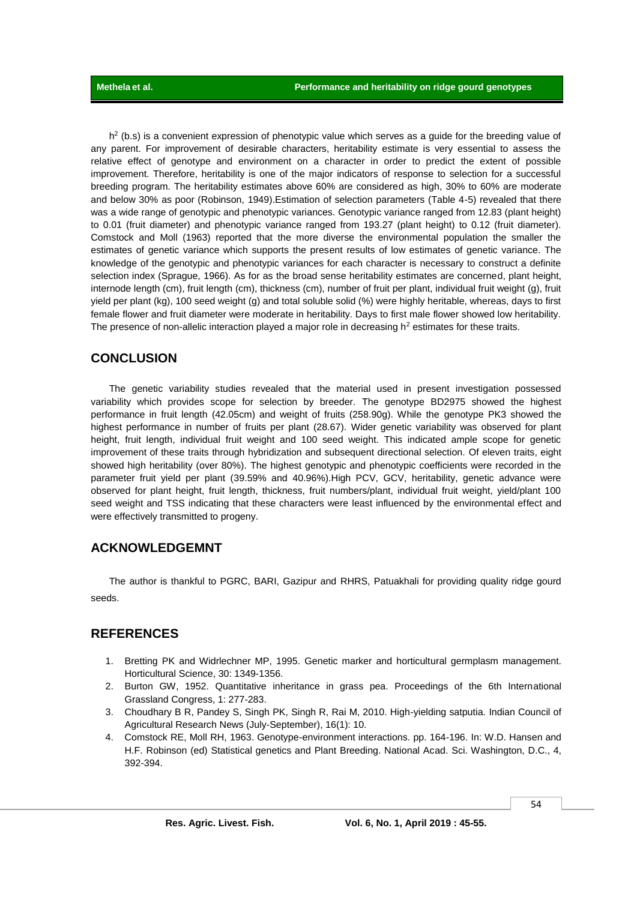$h^2$  (b.s) is a convenient expression of phenotypic value which serves as a guide for the breeding value of any parent. For improvement of desirable characters, heritability estimate is very essential to assess the relative effect of genotype and environment on a character in order to predict the extent of possible improvement. Therefore, heritability is one of the major indicators of response to selection for a successful breeding program. The heritability estimates above 60% are considered as high, 30% to 60% are moderate and below 30% as poor (Robinson, 1949).Estimation of selection parameters (Table 4-5) revealed that there was a wide range of genotypic and phenotypic variances. Genotypic variance ranged from 12.83 (plant height) to 0.01 (fruit diameter) and phenotypic variance ranged from 193.27 (plant height) to 0.12 (fruit diameter). Comstock and Moll (1963) reported that the more diverse the environmental population the smaller the estimates of genetic variance which supports the present results of low estimates of genetic variance. The knowledge of the genotypic and phenotypic variances for each character is necessary to construct a definite selection index (Sprague, 1966). As for as the broad sense heritability estimates are concerned, plant height, internode length (cm), fruit length (cm), thickness (cm), number of fruit per plant, individual fruit weight (g), fruit yield per plant (kg), 100 seed weight (g) and total soluble solid (%) were highly heritable, whereas, days to first female flower and fruit diameter were moderate in heritability. Days to first male flower showed low heritability. The presence of non-allelic interaction played a major role in decreasing  $h^2$  estimates for these traits.

### **CONCLUSION**

The genetic variability studies revealed that the material used in present investigation possessed variability which provides scope for selection by breeder. The genotype BD2975 showed the highest performance in fruit length (42.05cm) and weight of fruits (258.90g). While the genotype PK3 showed the highest performance in number of fruits per plant (28.67). Wider genetic variability was observed for plant height, fruit length, individual fruit weight and 100 seed weight. This indicated ample scope for genetic improvement of these traits through hybridization and subsequent directional selection. Of eleven traits, eight showed high heritability (over 80%). The highest genotypic and phenotypic coefficients were recorded in the parameter fruit yield per plant (39.59% and 40.96%).High PCV, GCV, heritability, genetic advance were observed for plant height, fruit length, thickness, fruit numbers/plant, individual fruit weight, yield/plant 100 seed weight and TSS indicating that these characters were least influenced by the environmental effect and were effectively transmitted to progeny.

### **ACKNOWLEDGEMNT**

The author is thankful to PGRC, BARI, Gazipur and RHRS, Patuakhali for providing quality ridge gourd seeds.

### **REFERENCES**

- 1. Bretting PK and Widrlechner MP, 1995. Genetic marker and horticultural germplasm management. Horticultural Science, 30: 1349-1356.
- 2. Burton GW, 1952. Quantitative inheritance in grass pea. Proceedings of the 6th International Grassland Congress, 1: 277-283.
- 3. Choudhary B R, Pandey S, Singh PK, Singh R, Rai M, 2010. High-yielding satputia. Indian Council of Agricultural Research News (July-September), 16(1): 10.
- 4. Comstock RE, Moll RH, 1963. Genotype-environment interactions. pp. 164-196. In: W.D. Hansen and H.F. Robinson (ed) Statistical genetics and Plant Breeding. National Acad. Sci. Washington, D.C., 4, 392-394.